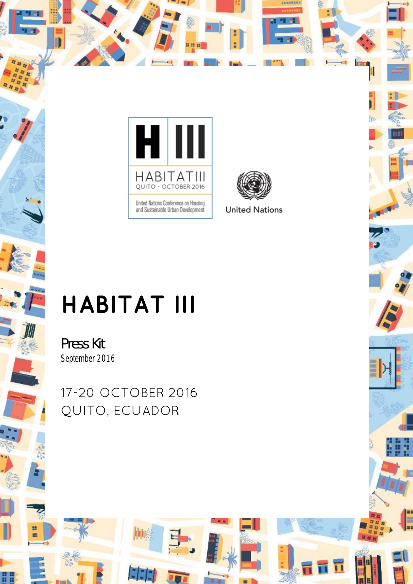



**TIO** 

 $\overline{\mathbf{u}}$ 

# **HABITAT III**

Press Kit *September 2016*

ies

17-20 OCTOBER 2016 QUITO, ECUADOR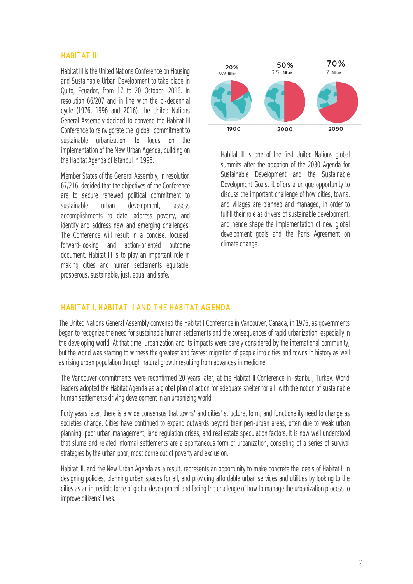#### **HABITAT III**

Habitat III is the United Nations Conference on Housing and Sustainable Urban Development to take place in Quito, Ecuador, from 17 to 20 October, 2016. In resolution 66/207 and in line with the bi-decennial cycle (1976, 1996 and 2016), the United Nations General Assembly decided to convene the Habitat III Conference to reinvigorate the global commitment to sustainable urbanization, to focus on the implementation of the New Urban Agenda, building on the Habitat Agenda of Istanbul in 1996.

Member States of the General Assembly, in resolution 67/216, decided that the objectives of the Conference are to secure renewed political commitment to sustainable urban development, assess accomplishments to date, address poverty, and identify and address new and emerging challenges. The Conference will result in a concise, focused, forward-looking and action-oriented outcome document. Habitat III is to play an important role in making cities and human settlements equitable, prosperous, sustainable, just, equal and safe.



Habitat III is one of the first United Nations global summits after the adoption of the 2030 Agenda for Sustainable Development and the Sustainable Development Goals. It offers a unique opportunity to discuss the important challenge of how cities, towns, and villages are planned and managed, in order to fulfill their role as drivers of sustainable development, and hence shape the implementation of new global development goals and the Paris Agreement on climate change.

#### **HABITAT I, HABITAT II AND THE HABITAT AGENDA**

The United Nations General Assembly convened the Habitat I Conference in Vancouver, Canada, in 1976, as governments began to recognize the need for sustainable human settlements and the consequences of rapid urbanization, especially in the developing world. At that time, urbanization and its impacts were barely considered by the international community, but the world was starting to witness the greatest and fastest migration of people into cities and towns in history as well as rising urban population through natural growth resulting from advances in medicine.

The Vancouver commitments were reconfirmed 20 years later, at the Habitat II Conference in Istanbul, Turkey. World leaders adopted the Habitat Agenda as a global plan of action for adequate shelter for all, with the notion of sustainable human settlements driving development in an urbanizing world.

Forty years later, there is a wide consensus that towns' and cities' structure, form, and functionality need to change as societies change. Cities have continued to expand outwards beyond their peri-urban areas, often due to weak urban planning, poor urban management, land regulation crises, and real estate speculation factors. It is now well understood that slums and related informal settlements are a spontaneous form of urbanization, consisting of a series of survival strategies by the urban poor, most borne out of poverty and exclusion.

Habitat III, and the New Urban Agenda as a result, represents an opportunity to make concrete the ideals of Habitat II in designing policies, planning urban spaces for all, and providing affordable urban services and utilities by looking to the cities as an incredible force of global development and facing the challenge of how to manage the urbanization process to improve citizens' lives.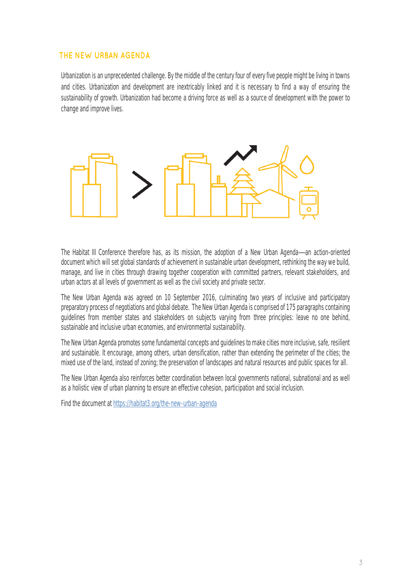## **THE NEW URBAN AGENDA**

Urbanization is an unprecedented challenge. By the middle of the century four of every five people might be living in towns and cities. Urbanization and development are inextricably linked and it is necessary to find a way of ensuring the sustainability of growth. Urbanization had become a driving force as well as a source of development with the power to change and improve lives.



The Habitat III Conference therefore has, as its mission, the adoption of a New Urban Agenda—an action-oriented document which will set global standards of achievement in sustainable urban development, rethinking the way we build, manage, and live in cities through drawing together cooperation with committed partners, relevant stakeholders, and urban actors at all levels of government as well as the civil society and private sector.

The New Urban Agenda was agreed on 10 September 2016, culminating two years of inclusive and participatory preparatory process of negotiations and global debate. The New Urban Agenda is comprised of 175 paragraphs containing guidelines from member states and stakeholders on subjects varying from three principles: leave no one behind, sustainable and inclusive urban economies, and environmental sustainability.

The New Urban Agenda promotes some fundamental concepts and guidelines to make cities more inclusive, safe, resilient and sustainable. It encourage, among others, urban densification, rather than extending the perimeter of the cities; the mixed use of the land, instead of zoning; the preservation of landscapes and natural resources and public spaces for all.

The New Urban Agenda also reinforces better coordination between local governments national, subnational and as well as a holistic view of urban planning to ensure an effective cohesion, participation and social inclusion.

Find the document a[t https://habitat3.org/the-new-urban-agenda](https://www2.habitat3.org/bitcache/97ced11dcecef85d41f74043195e5472836f6291?vid=588897&disposition=inline&op=view)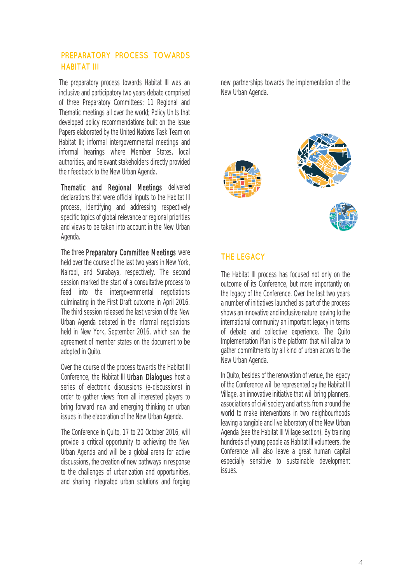## **PREPARATORY PROCESS TOWARDS HABITAT III**

The preparatory process towards Habitat III was an inclusive and participatory two years debate comprised of three Preparatory Committees; 11 Regional and Thematic meetings all over the world; Policy Units that developed policy recommendations built on the Issue Papers elaborated by the United Nations Task Team on Habitat III; informal intergovernmental meetings and informal hearings where Member States, local authorities, and relevant stakeholders directly provided their feedback to the New Urban Agenda.

Thematic and Regional Meetings delivered declarations that were official inputs to the Habitat III process, identifying and addressing respectively specific topics of global relevance or regional priorities and views to be taken into account in the New Urban Agenda.

The three Preparatory Committee Meetings were held over the course of the last two years in New York, Nairobi, and Surabaya, respectively. The second session marked the start of a consultative process to feed into the intergovernmental negotiations culminating in the First Draft outcome in April 2016. The third session released the last version of the New Urban Agenda debated in the informal negotiations held in New York, September 2016, which saw the agreement of member states on the document to be adopted in Quito.

Over the course of the process towards the Habitat III Conference, the Habitat III Urban Dialogues host a series of electronic discussions (e-discussions) in order to gather views from all interested players to bring forward new and emerging thinking on urban issues in the elaboration of the New Urban Agenda.

The Conference in Quito, 17 to 20 October 2016, will provide a critical opportunity to achieving the New Urban Agenda and will be a global arena for active discussions, the creation of new pathways in response to the challenges of urbanization and opportunities, and sharing integrated urban solutions and forging new partnerships towards the implementation of the New Urban Agenda.



## **THE LEGACY**

The Habitat III process has focused not only on the outcome of its Conference, but more importantly on the legacy of the Conference. Over the last two years a number of initiatives launched as part of the process shows an innovative and inclusive nature leaving to the international community an important legacy in terms of debate and collective experience. The Quito Implementation Plan is the platform that will allow to gather commitments by all kind of urban actors to the New Urban Agenda.

In Quito, besides of the renovation of venue, the legacy of the Conference will be represented by the Habitat III Village, an innovative initiative that will bring planners, associations of civil society and artists from around the world to make interventions in two neighbourhoods leaving a tangible and live laboratory of the New Urban Agenda (see the Habitat III Village section). By training hundreds of young people as Habitat III volunteers, the Conference will also leave a great human capital especially sensitive to sustainable development issues.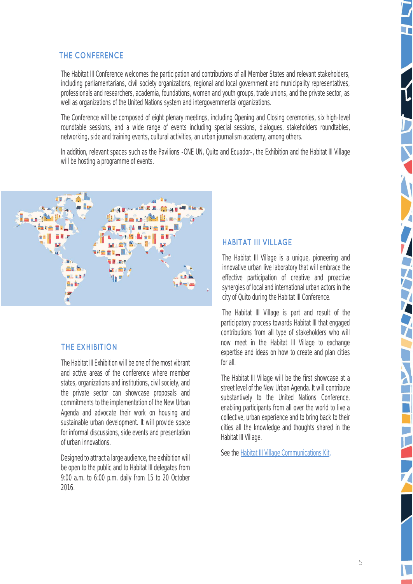## **THE CONFERENCE**

The Habitat III Conference welcomes the participation and contributions of all Member States and relevant stakeholders, including parliamentarians, civil society organizations, regional and local government and municipality representatives, professionals and researchers, academia, foundations, women and youth groups, trade unions, and the private sector, as well as organizations of the United Nations system and intergovernmental organizations.

The Conference will be composed of eight plenary meetings, including Opening and Closing ceremonies, six high-level roundtable sessions, and a wide range of events including special sessions, dialogues, stakeholders roundtables, networking, side and training events, cultural activities, an urban journalism academy, among others.

In addition, relevant spaces such as the Pavilions -ONE UN, Quito and Ecuador-, the Exhibition and the Habitat III Village will be hosting a programme of events.



#### **THE EXHIBITION**

The Habitat III Exhibition will be one of the most vibrant and active areas of the conference where member states, organizations and institutions, civil society, and the private sector can showcase proposals and commitments to the implementation of the New Urban Agenda and advocate their work on housing and sustainable urban development. It will provide space for informal discussions, side events and presentation of urban innovations.

Designed to attract a large audience, the exhibition will be open to the public and to Habitat III delegates from 9:00 a.m. to 6:00 p.m. daily from 15 to 20 October 2016.

#### **HABITAT III VILLAGE**

The Habitat III Village is a unique, pioneering and innovative urban live laboratory that will embrace the effective participation of creative and proactive synergies of local and international urban actors in the city of Quito during the Habitat III Conference.

The Habitat III Village is part and result of the participatory process towards Habitat III that engaged contributions from all type of stakeholders who will now meet in the Habitat III Village to exchange expertise and ideas on how to create and plan cities for all.

The Habitat III Village will be the first showcase at a street level of the New Urban Agenda. It will contribute substantively to the United Nations Conference, enabling participants from all over the world to live a collective, urban experience and to bring back to their cities all the knowledge and thoughts shared in the Habitat III Village.

See the [Habitat III Village Communications Kit.](https://www.habitat3.org/file/536021/view/589133)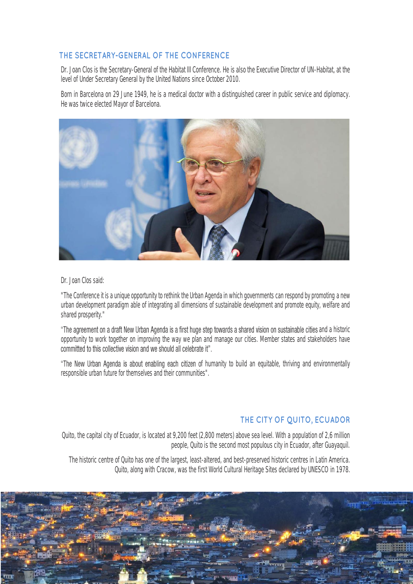## **THE SECRETARY-GENERAL OF THE CONFERENCE**

Dr. Joan Clos is the Secretary-General of the Habitat III Conference. He is also the Executive Director of UN-Habitat, at the level of Under Secretary General by the United Nations since October 2010.

Born in Barcelona on 29 June 1949, he is a medical doctor with a distinguished career in public service and diplomacy. He was twice elected Mayor of Barcelona.



#### Dr. Joan Clos said:

"The Conference it is a unique opportunity to rethink the Urban Agenda in which governments can respond by promoting a new urban development paradigm able of integrating all dimensions of sustainable development and promote equity, welfare and shared prosperity."

"The agreement on a draft New Urban Agenda is a first huge step towards a shared vision on sustainable cities and a historic opportunity to work together on improving the way we plan and manage our cities. Member states and stakeholders have<br>committed to this collective vision and we should all celebrate it".

"The New Urban Agenda is about enabling each citizen of humanity to build an equitable, thriving and environmentally responsible urban future for themselves and their communities".

## **THE CITY OF QUITO, ECUADOR**

Quito, the capital city of Ecuador, is located at 9,200 feet (2,800 meters) above sea level. With a population of 2,6 million people, Quito is the second most populous city in Ecuador, after Guayaquil.

The historic centre of Quito has one of the largest, least-altered, and best-preserved historic centres in Latin America. Quito, along with Cracow, was the first World Cultural Heritage Sites declared by UNESCO in 1978.